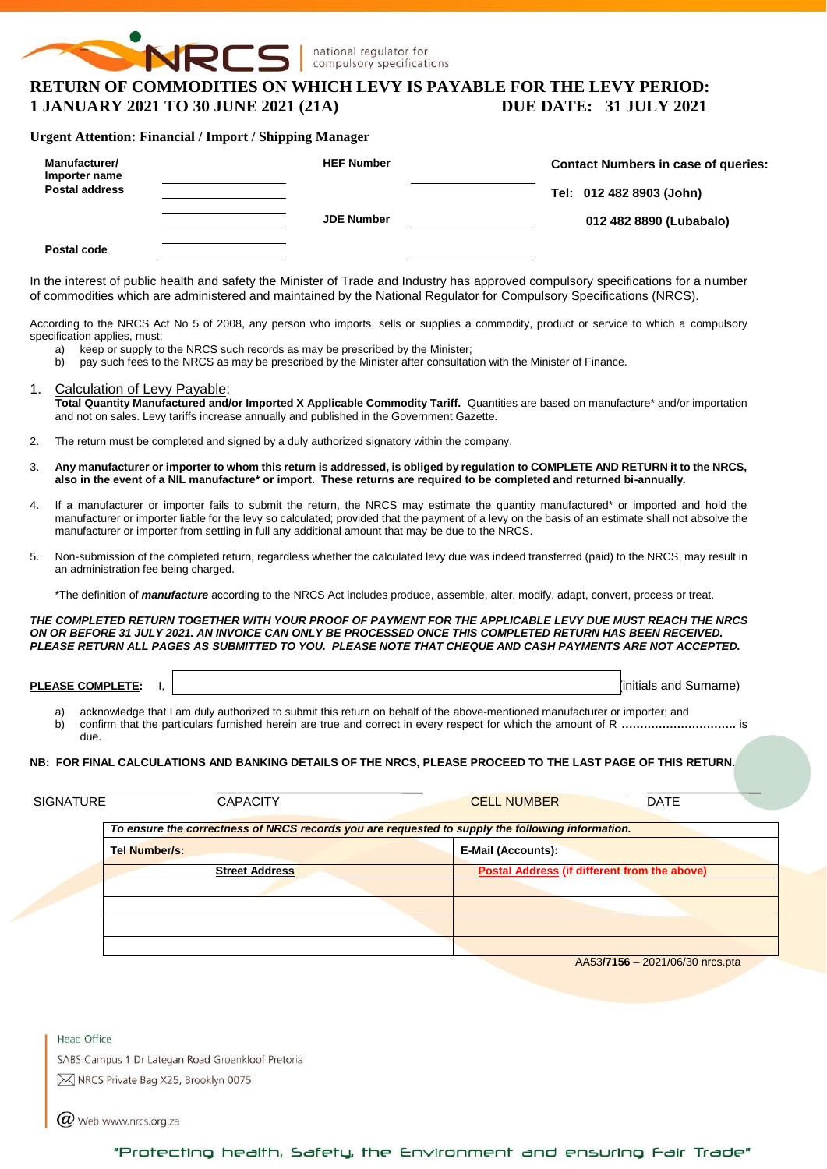

# **RETURN OF COMMODITIES ON WHICH LEVY IS PAYABLE FOR THE LEVY PERIOD: 1 JANUARY 2021 TO 30 JUNE 2021 (21A) DUE DATE: 31 JULY 2021**

#### **Urgent Attention: Financial / Import / Shipping Manager**

| Manufacturer/<br>Importer name<br><b>Postal address</b> | <b>HEF Number</b> | <b>Contact Numbers in case of queries:</b><br>Tel: 012 482 8903 (John) |
|---------------------------------------------------------|-------------------|------------------------------------------------------------------------|
|                                                         | <b>JDE Number</b> | 012 482 8890 (Lubabalo)                                                |
| Postal code                                             |                   |                                                                        |

In the interest of public health and safety the Minister of Trade and Industry has approved compulsory specifications for a number of commodities which are administered and maintained by the National Regulator for Compulsory Specifications (NRCS).

According to the NRCS Act No 5 of 2008, any person who imports, sells or supplies a commodity, product or service to which a compulsory specification applies, must:

- 
- a) keep or supply to the NRCS such records as may be prescribed by the Minister;<br>b) pay such fees to the NRCS as may be prescribed by the Minister after consultati b) pay such fees to the NRCS as may be prescribed by the Minister after consultation with the Minister of Finance.

#### 1. Calculation of Levy Payable:

**Total Quantity Manufactured and/or Imported X Applicable Commodity Tariff.** Quantities are based on manufacture\* and/or importation and not on sales. Levy tariffs increase annually and published in the Government Gazette.

- 2. The return must be completed and signed by a duly authorized signatory within the company.
- 3. **Any manufacturer or importer to whom this return is addressed, is obliged by regulation to COMPLETE AND RETURN it to the NRCS, also in the event of a NIL manufacture\* or import. These returns are required to be completed and returned bi-annually.**
- 4. If a manufacturer or importer fails to submit the return, the NRCS may estimate the quantity manufactured\* or imported and hold the manufacturer or importer liable for the levy so calculated; provided that the payment of a levy on the basis of an estimate shall not absolve the manufacturer or importer from settling in full any additional amount that may be due to the NRCS.
- 5. Non-submission of the completed return, regardless whether the calculated levy due was indeed transferred (paid) to the NRCS, may result in an administration fee being charged.

\*The definition of *manufacture* according to the NRCS Act includes produce, assemble, alter, modify, adapt, convert, process or treat.

*THE COMPLETED RETURN TOGETHER WITH YOUR PROOF OF PAYMENT FOR THE APPLICABLE LEVY DUE MUST REACH THE NRCS ON OR BEFORE 31 JULY 2021. AN INVOICE CAN ONLY BE PROCESSED ONCE THIS COMPLETED RETURN HAS BEEN RECEIVED. PLEASE RETURN ALL PAGES AS SUBMITTED TO YOU. PLEASE NOTE THAT CHEQUE AND CASH PAYMENTS ARE NOT ACCEPTED.*

**PLEASE COMPLETE:** I,  $\vert$ 

a) acknowledge that I am duly authorized to submit this return on behalf of the above-mentioned manufacturer or importer; and<br>b) confirm that the particulars furnished herein are true and correct in every respect for which b) confirm that the particulars furnished herein are true and correct in every respect for which the amount of R **………………………….** is due.

#### **NB: FOR FINAL CALCULATIONS AND BANKING DETAILS OF THE NRCS, PLEASE PROCEED TO THE LAST PAGE OF THIS RETURN.**

| <b>SIGNATURE</b> | <b>CAPACITY</b>                                                                                  | <b>CELL NUMBER</b><br><b>DATE</b>                   |
|------------------|--------------------------------------------------------------------------------------------------|-----------------------------------------------------|
|                  | To ensure the correctness of NRCS records you are requested to supply the following information. |                                                     |
|                  | <b>Tel Number/s:</b>                                                                             | E-Mail (Accounts):                                  |
|                  | <b>Street Address</b>                                                                            | <b>Postal Address (if different from the above)</b> |
|                  |                                                                                                  |                                                     |
|                  |                                                                                                  |                                                     |
|                  |                                                                                                  |                                                     |
|                  |                                                                                                  | AA53/7156 - 2021/06/30 nrcs.pta                     |

**Head Office** 

SABS Campus 1 Dr Lategan Road Groenkloof Pretoria

M NRCS Private Bag X25, Brooklyn 0075

 $(\alpha)$  Web www.nrcs.org.za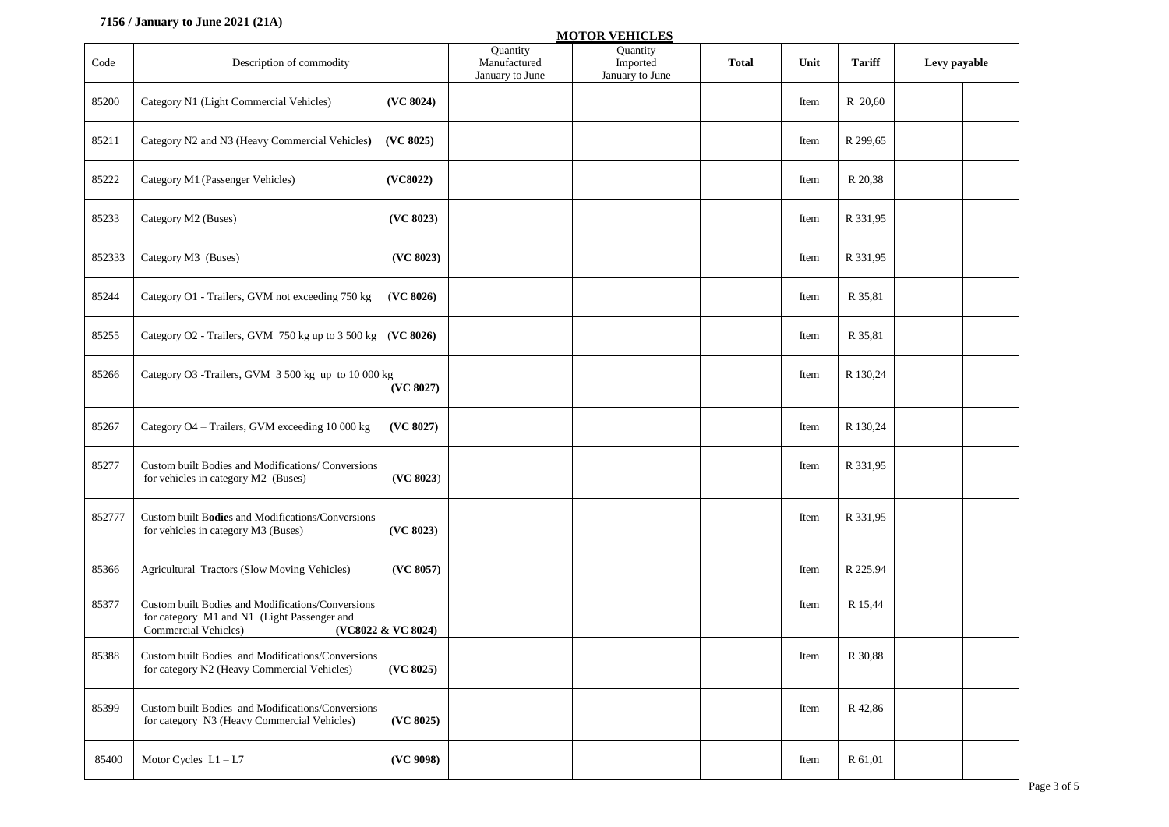#### **7156 / January to June 2021 (21A)**

|        |                                                                                                                                                |                                             | <b>MOTOR VEHICLES</b>                   |              |      |               |              |
|--------|------------------------------------------------------------------------------------------------------------------------------------------------|---------------------------------------------|-----------------------------------------|--------------|------|---------------|--------------|
| Code   | Description of commodity                                                                                                                       | Quantity<br>Manufactured<br>January to June | Quantity<br>Imported<br>January to June | <b>Total</b> | Unit | <b>Tariff</b> | Levy payable |
| 85200  | Category N1 (Light Commercial Vehicles)<br>(VC 8024)                                                                                           |                                             |                                         |              | Item | R 20,60       |              |
| 85211  | Category N2 and N3 (Heavy Commercial Vehicles)<br>(VC 8025)                                                                                    |                                             |                                         |              | Item | R 299,65      |              |
| 85222  | Category M1 (Passenger Vehicles)<br>(VC8022)                                                                                                   |                                             |                                         |              | Item | R 20,38       |              |
| 85233  | Category M2 (Buses)<br>(VC 8023)                                                                                                               |                                             |                                         |              | Item | R 331,95      |              |
| 852333 | (VC 8023)<br>Category M3 (Buses)                                                                                                               |                                             |                                         |              | Item | R 331,95      |              |
| 85244  | Category O1 - Trailers, GVM not exceeding 750 kg<br>(VC 8026)                                                                                  |                                             |                                         |              | Item | R 35,81       |              |
| 85255  | Category O2 - Trailers, GVM 750 kg up to 3 500 kg (VC 8026)                                                                                    |                                             |                                         |              | Item | R 35,81       |              |
| 85266  | Category O3 -Trailers, GVM 3 500 kg up to 10 000 kg<br>(VC 8027)                                                                               |                                             |                                         |              | Item | R 130,24      |              |
| 85267  | Category O4 - Trailers, GVM exceeding 10 000 kg<br>(VC 8027)                                                                                   |                                             |                                         |              | Item | R 130,24      |              |
| 85277  | Custom built Bodies and Modifications/ Conversions<br>for vehicles in category M2 (Buses)<br>(VC 8023)                                         |                                             |                                         |              | Item | R 331,95      |              |
| 852777 | Custom built Bodies and Modifications/Conversions<br>for vehicles in category M3 (Buses)<br>(VC 8023)                                          |                                             |                                         |              | Item | R 331,95      |              |
| 85366  | Agricultural Tractors (Slow Moving Vehicles)<br>(VC 8057)                                                                                      |                                             |                                         |              | Item | R 225,94      |              |
| 85377  | Custom built Bodies and Modifications/Conversions<br>for category M1 and N1 (Light Passenger and<br>Commercial Vehicles)<br>(VC8022 & VC 8024) |                                             |                                         |              | Item | R 15,44       |              |
| 85388  | Custom built Bodies and Modifications/Conversions<br>for category N2 (Heavy Commercial Vehicles)<br>(VC 8025)                                  |                                             |                                         |              | Item | R 30,88       |              |
| 85399  | Custom built Bodies and Modifications/Conversions<br>(VC 8025)<br>for category N3 (Heavy Commercial Vehicles)                                  |                                             |                                         |              | Item | R 42,86       |              |
| 85400  | Motor Cycles $L1 - L7$<br>(VC 9098)                                                                                                            |                                             |                                         |              | Item | R 61,01       |              |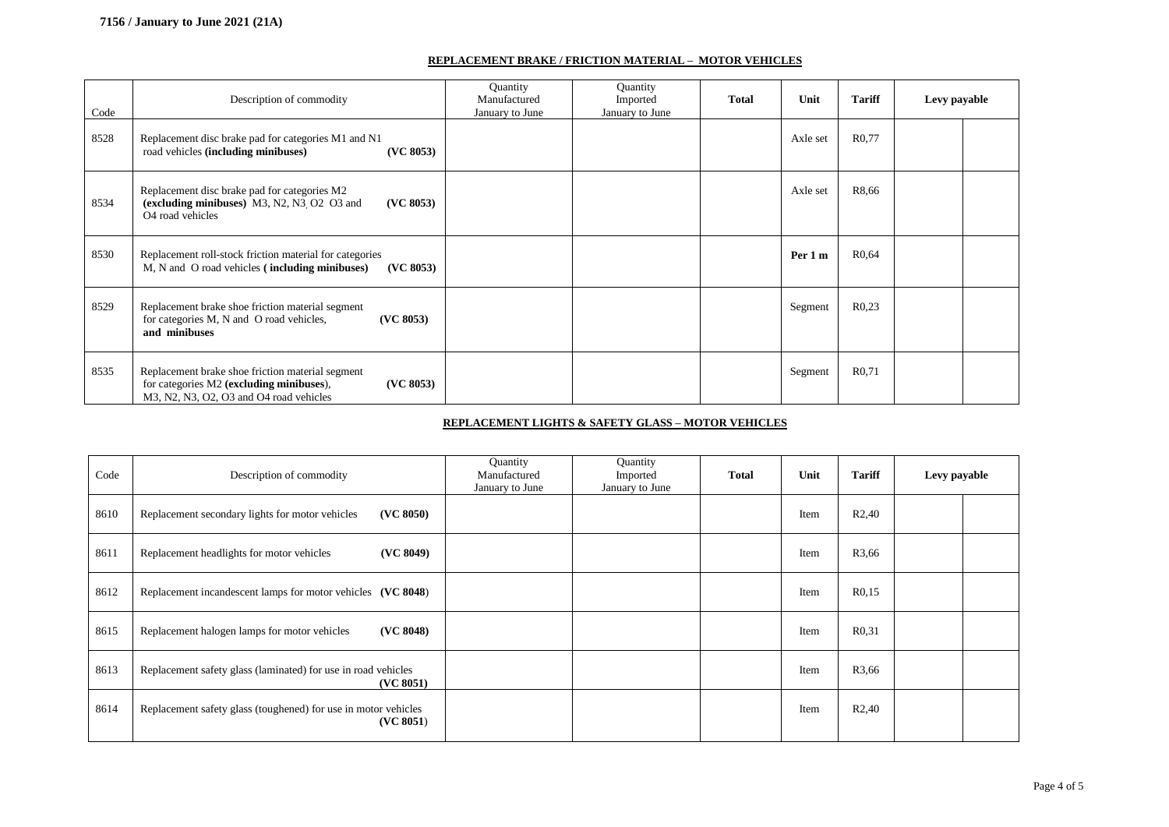#### **REPLACEMENT BRAKE / FRICTION MATERIAL – MOTOR VEHICLES**

| Code | Description of commodity                                                                                                                              | Quantity<br>Manufactured<br>January to June | Quantity<br>Imported<br>January to June | <b>Total</b> | Unit     | <b>Tariff</b>      | Levy payable |  |
|------|-------------------------------------------------------------------------------------------------------------------------------------------------------|---------------------------------------------|-----------------------------------------|--------------|----------|--------------------|--------------|--|
| 8528 | Replacement disc brake pad for categories M1 and N1<br>road vehicles (including minibuses)<br>(VC 8053)                                               |                                             |                                         |              | Axle set | R <sub>0</sub> ,77 |              |  |
| 8534 | Replacement disc brake pad for categories M2<br>(excluding minibuses) $M3$ , $N2$ , $N3$ , $O2$ $O3$ and<br>(VC 8053)<br>O <sub>4</sub> road vehicles |                                             |                                         |              | Axle set | R8,66              |              |  |
| 8530 | Replacement roll-stock friction material for categories<br>M, N and O road vehicles (including minibuses)<br>(VC 8053)                                |                                             |                                         |              | Per 1 m  | R <sub>0</sub> ,64 |              |  |
| 8529 | Replacement brake shoe friction material segment<br>for categories M, N and O road vehicles,<br>(VC 8053)<br>and minibuses                            |                                             |                                         |              | Segment  | R0,23              |              |  |
| 8535 | Replacement brake shoe friction material segment<br>for categories M2 (excluding minibuses),<br>(VC 8053)<br>M3, N2, N3, O2, O3 and O4 road vehicles  |                                             |                                         |              | Segment  | R <sub>0</sub> ,71 |              |  |

#### **REPLACEMENT LIGHTS & SAFETY GLASS – MOTOR VEHICLES**

| Code | Description of commodity                                                    | Quantity<br>Manufactured<br>January to June | Quantity<br>Imported<br>January to June | <b>Total</b> | Unit | <b>Tariff</b>      | Levy payable |
|------|-----------------------------------------------------------------------------|---------------------------------------------|-----------------------------------------|--------------|------|--------------------|--------------|
| 8610 | Replacement secondary lights for motor vehicles<br>(VC 8050)                |                                             |                                         |              | Item | R <sub>2</sub> ,40 |              |
| 8611 | Replacement headlights for motor vehicles<br>(VC 8049)                      |                                             |                                         |              | Item | R3,66              |              |
| 8612 | Replacement incandescent lamps for motor vehicles (VC 8048)                 |                                             |                                         |              | Item | R <sub>0,15</sub>  |              |
| 8615 | Replacement halogen lamps for motor vehicles<br>(VC 8048)                   |                                             |                                         |              | Item | R <sub>0</sub> ,31 |              |
| 8613 | Replacement safety glass (laminated) for use in road vehicles<br>(VC 8051)  |                                             |                                         |              | Item | R3,66              |              |
| 8614 | Replacement safety glass (toughened) for use in motor vehicles<br>(VC 8051) |                                             |                                         |              | Item | R <sub>2</sub> ,40 |              |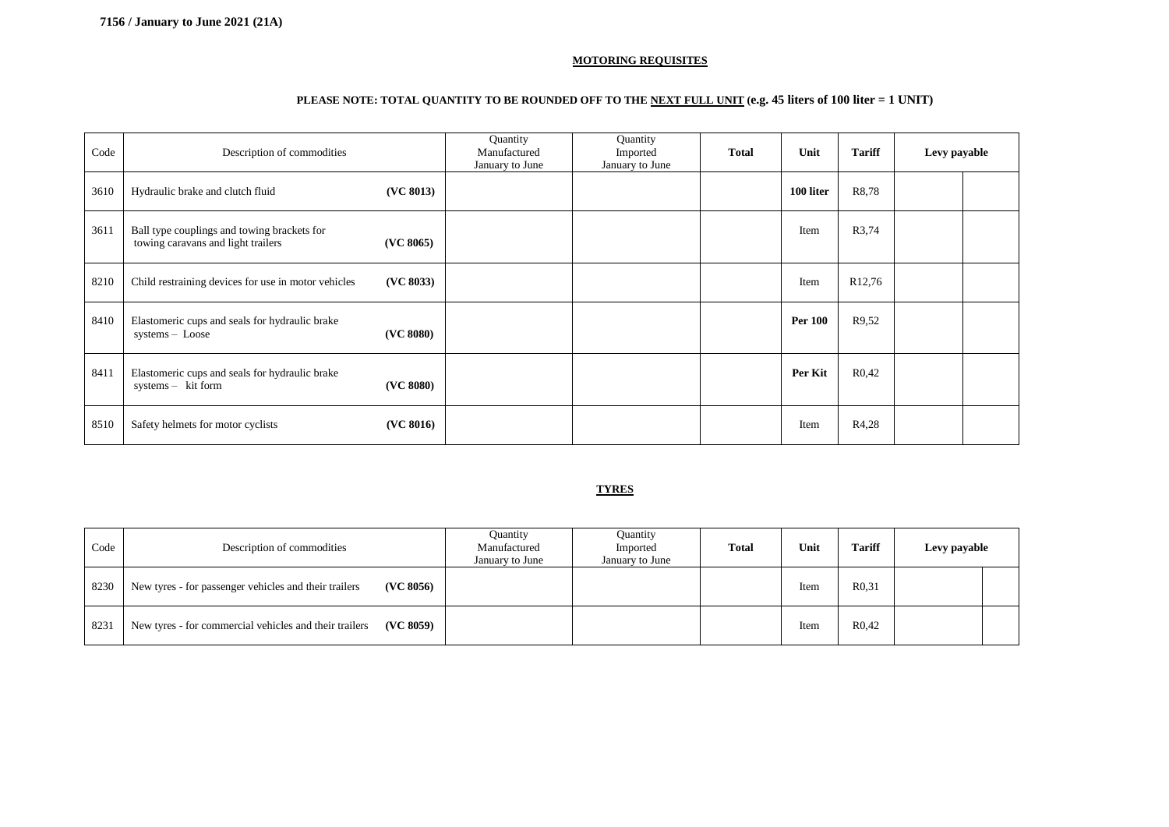#### **MOTORING REQUISITES**

#### **PLEASE NOTE: TOTAL QUANTITY TO BE ROUNDED OFF TO THE NEXT FULL UNIT (e.g. 45 liters of 100 liter = 1 UNIT)**

| Code | Description of commodities                                                        |           | Quantity<br>Manufactured<br>January to June | Quantity<br>Imported<br>January to June | <b>Total</b> | Unit           | <b>Tariff</b>      | Levy payable |  |
|------|-----------------------------------------------------------------------------------|-----------|---------------------------------------------|-----------------------------------------|--------------|----------------|--------------------|--------------|--|
| 3610 | Hydraulic brake and clutch fluid                                                  | (VC 8013) |                                             |                                         |              | 100 liter      | R8,78              |              |  |
| 3611 | Ball type couplings and towing brackets for<br>towing caravans and light trailers | (VC 8065) |                                             |                                         |              | Item           | R3,74              |              |  |
| 8210 | Child restraining devices for use in motor vehicles                               | (VC 8033) |                                             |                                         |              | Item           | R <sub>12,76</sub> |              |  |
| 8410 | Elastomeric cups and seals for hydraulic brake<br>systems - Loose                 | (VC 8080) |                                             |                                         |              | <b>Per 100</b> | R9.52              |              |  |
| 8411 | Elastomeric cups and seals for hydraulic brake<br>systems - kit form              | (VC 8080) |                                             |                                         |              | Per Kit        | R <sub>0</sub> ,42 |              |  |
| 8510 | Safety helmets for motor cyclists                                                 | (VC 8016) |                                             |                                         |              | Item           | R4,28              |              |  |

#### **TYRES**

| Code | Description of commodities                                          | Quantity<br>Manufactured<br>January to June | Quantity<br>Imported<br>January to June | <b>Total</b> | Unit | <b>Tariff</b>      | Levy payable |  |
|------|---------------------------------------------------------------------|---------------------------------------------|-----------------------------------------|--------------|------|--------------------|--------------|--|
| 8230 | (VC 8056)<br>New tyres - for passenger vehicles and their trailers  |                                             |                                         |              | Item | R <sub>0.31</sub>  |              |  |
| 8231 | New tyres - for commercial vehicles and their trailers<br>(VC 8059) |                                             |                                         |              | Item | R <sub>0</sub> ,42 |              |  |